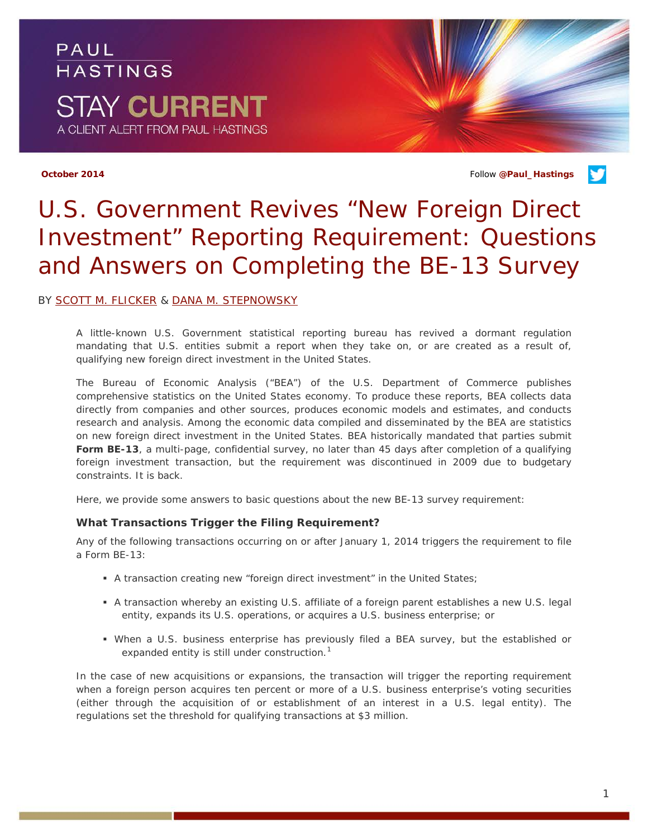PAUL **HASTINGS STAY CURRENT** A CLIENT ALERT FROM PAUL HASTINGS

**October 2014** Follow **[@Paul\\_Hastings](http://twitter.com/Paul_Hastings)**

# *U.S. Government Revives "New Foreign Direct Investment" Reporting Requirement: Questions and Answers on Completing the BE-13 Survey*

#### BY [SCOTT M. FLICKER](http://paulhastings.com/Professionals/details/scottflicker/http:/paulhastings.com/Professionals/details/scottflicker/) & [DANA M. STEPNOWSKY](http://paulhastings.com/Professionals/details/danastepnowsky/)

A little-known U.S. Government statistical reporting bureau has revived a dormant regulation mandating that U.S. entities submit a report when they take on, or are created as a result of, qualifying new foreign direct investment in the United States.

The Bureau of Economic Analysis ("BEA") of the U.S. Department of Commerce publishes comprehensive statistics on the United States economy. To produce these reports, BEA collects data directly from companies and other sources, produces economic models and estimates, and conducts research and analysis. Among the economic data compiled and disseminated by the BEA are statistics on new foreign direct investment in the United States. BEA historically mandated that parties submit **Form BE-13**, a multi-page, confidential survey, no later than 45 days after completion of a qualifying foreign investment transaction, but the requirement was discontinued in 2009 due to budgetary constraints. It is back.

Here, we provide some answers to basic questions about the new BE-13 survey requirement:

### **What Transactions Trigger the Filing Requirement?**

Any of the following transactions occurring on or after January 1, 2014 triggers the requirement to file a Form BE-13:

- A transaction creating new "foreign direct investment" in the United States;
- A transaction whereby an existing U.S. affiliate of a foreign parent establishes a new U.S. legal entity, expands its U.S. operations, or acquires a U.S. business enterprise; or
- When a U.S. business enterprise has previously filed a BEA survey, but the established or expanded entity is still under construction.<sup>[1](#page-3-0)</sup>

In the case of new acquisitions or expansions, the transaction will trigger the reporting requirement when a foreign person acquires ten percent or more of a U.S. business enterprise's voting securities (either through the acquisition of or establishment of an interest in a U.S. legal entity). The regulations set the threshold for qualifying transactions at \$3 million.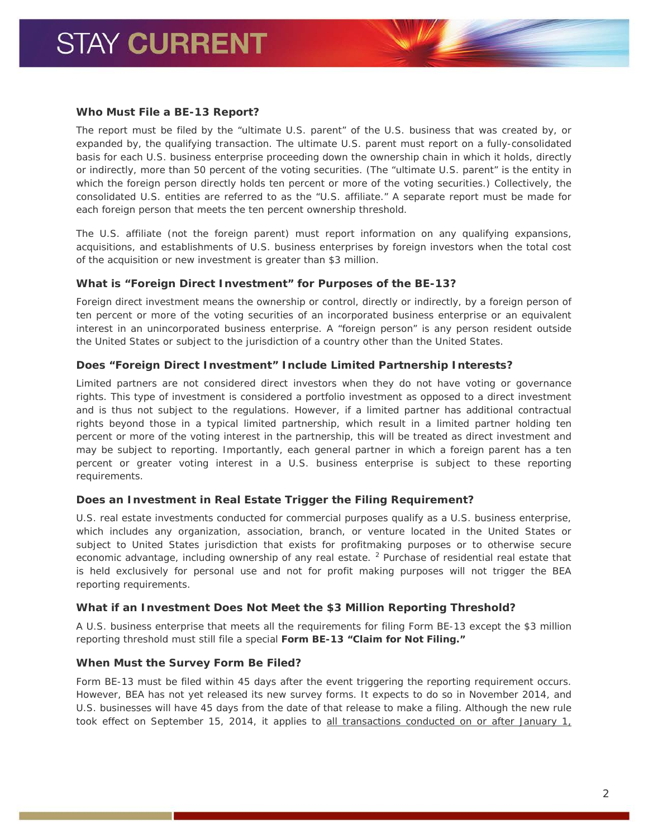#### **Who Must File a BE-13 Report?**

The report must be filed by the "ultimate U.S. parent" of the U.S. business that was created by, or expanded by, the qualifying transaction. The ultimate U.S. parent must report on a fully-consolidated basis for each U.S. business enterprise proceeding down the ownership chain in which it holds, directly or indirectly, more than 50 percent of the voting securities. (The "ultimate U.S. parent" is the entity in which the foreign person directly holds ten percent or more of the voting securities.) Collectively, the consolidated U.S. entities are referred to as the "U.S. affiliate." A separate report must be made for each foreign person that meets the ten percent ownership threshold.

The U.S. affiliate (not the foreign parent) must report information on any qualifying expansions, acquisitions, and establishments of U.S. business enterprises by foreign investors when the total cost of the acquisition or new investment is greater than \$3 million.

#### **What is "Foreign Direct Investment" for Purposes of the BE-13?**

Foreign direct investment means the ownership or control, directly or indirectly, by a foreign person of ten percent or more of the voting securities of an incorporated business enterprise or an equivalent interest in an unincorporated business enterprise. A "foreign person" is any person resident outside the United States or subject to the jurisdiction of a country other than the United States.

#### **Does "Foreign Direct Investment" Include Limited Partnership Interests?**

Limited partners are not considered direct investors when they do not have voting or governance rights. This type of investment is considered a *portfolio* investment as opposed to a *direct* investment and is thus not subject to the regulations. However, if a limited partner has additional contractual rights beyond those in a typical limited partnership, which result in a limited partner holding ten percent or more of the voting interest in the partnership, this will be treated as direct investment and may be subject to reporting. Importantly, each general partner in which a foreign parent has a ten percent or greater voting interest in a U.S. business enterprise is subject to these reporting requirements.

# **Does an Investment in Real Estate Trigger the Filing Requirement?**

U.S. real estate investments conducted for commercial purposes qualify as a U.S. business enterprise, which includes any organization, association, branch, or venture located in the United States or subject to United States jurisdiction that exists for profitmaking purposes or to otherwise secure economic advantage, *including ownership of any real estate*. [2](#page-3-1) Purchase of residential real estate that is held exclusively for personal use and not for profit making purposes will not trigger the BEA reporting requirements.

# **What if an Investment Does Not Meet the \$3 Million Reporting Threshold?**

A U.S. business enterprise that meets all the requirements for filing Form BE-13 except the \$3 million reporting threshold must still file a special **Form BE-13 "Claim for Not Filing."**

#### **When Must the Survey Form Be Filed?**

Form BE-13 must be filed within 45 days after the event triggering the reporting requirement occurs. However, BEA has not yet released its new survey forms. It expects to do so in November 2014, and U.S. businesses will have 45 days from the date of that release to make a filing. Although the new rule took effect on September 15, 2014, it applies to all transactions conducted on or after January 1,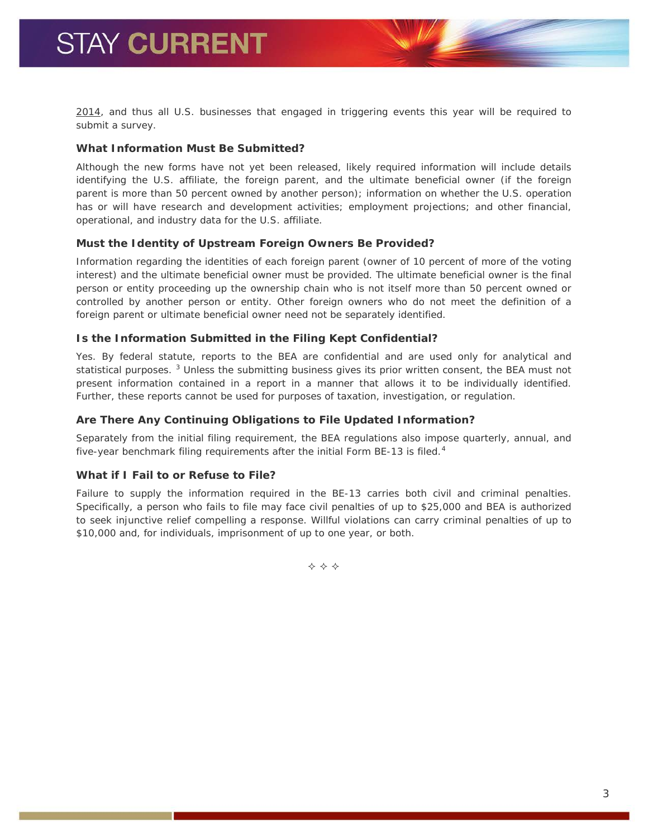2014, and thus all U.S. businesses that engaged in triggering events this year will be required to submit a survey.

# **What Information Must Be Submitted?**

Although the new forms have not yet been released, likely required information will include details identifying the U.S. affiliate, the foreign parent, and the ultimate beneficial owner (if the foreign parent is more than 50 percent owned by another person); information on whether the U.S. operation has or will have research and development activities; employment projections; and other financial, operational, and industry data for the U.S. affiliate.

# **Must the Identity of Upstream Foreign Owners Be Provided?**

Information regarding the identities of each foreign parent (owner of 10 percent of more of the voting interest) and the ultimate beneficial owner must be provided. The ultimate beneficial owner is the final person or entity proceeding up the ownership chain who is not itself more than 50 percent owned or controlled by another person or entity. Other foreign owners who do not meet the definition of a foreign parent or ultimate beneficial owner need not be separately identified.

# **Is the Information Submitted in the Filing Kept Confidential?**

Yes. By federal statute, reports to the BEA are confidential and are used only for analytical and statistical purposes. <sup>[3](#page-3-2)</sup> Unless the submitting business gives its prior written consent, the BEA must not present information contained in a report in a manner that allows it to be individually identified. Further, these reports cannot be used for purposes of taxation, investigation, or regulation.

# **Are There Any Continuing Obligations to File Updated Information?**

Separately from the initial filing requirement, the BEA regulations also impose quarterly, annual, and five-year benchmark filing requirements after the initial Form BE-13 is filed.<sup>[4](#page-3-3)</sup>

# **What if I Fail to or Refuse to File?**

Failure to supply the information required in the BE-13 carries both civil and criminal penalties. Specifically, a person who fails to file may face civil penalties of up to \$25,000 and BEA is authorized to seek injunctive relief compelling a response. Willful violations can carry criminal penalties of up to \$10,000 and, for individuals, imprisonment of up to one year, or both.

 $\Leftrightarrow$   $\Leftrightarrow$   $\Leftrightarrow$